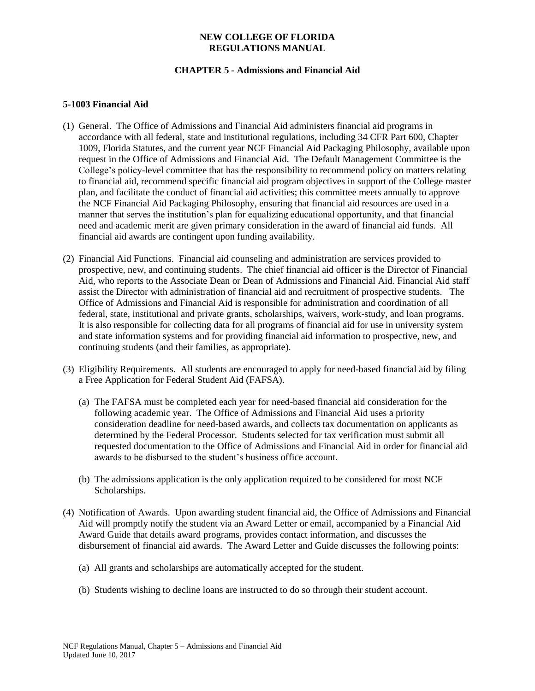# **CHAPTER 5 - Admissions and Financial Aid**

## **5-1003 Financial Aid**

- (1) General. The Office of Admissions and Financial Aid administers financial aid programs in accordance with all federal, state and institutional regulations, including 34 CFR Part 600, Chapter 1009, Florida Statutes, and the current year NCF Financial Aid Packaging Philosophy, available upon request in the Office of Admissions and Financial Aid. The Default Management Committee is the College's policy-level committee that has the responsibility to recommend policy on matters relating to financial aid, recommend specific financial aid program objectives in support of the College master plan, and facilitate the conduct of financial aid activities; this committee meets annually to approve the NCF Financial Aid Packaging Philosophy, ensuring that financial aid resources are used in a manner that serves the institution's plan for equalizing educational opportunity, and that financial need and academic merit are given primary consideration in the award of financial aid funds. All financial aid awards are contingent upon funding availability.
- (2) Financial Aid Functions. Financial aid counseling and administration are services provided to prospective, new, and continuing students. The chief financial aid officer is the Director of Financial Aid, who reports to the Associate Dean or Dean of Admissions and Financial Aid. Financial Aid staff assist the Director with administration of financial aid and recruitment of prospective students. The Office of Admissions and Financial Aid is responsible for administration and coordination of all federal, state, institutional and private grants, scholarships, waivers, work-study, and loan programs. It is also responsible for collecting data for all programs of financial aid for use in university system and state information systems and for providing financial aid information to prospective, new, and continuing students (and their families, as appropriate).
- (3) Eligibility Requirements. All students are encouraged to apply for need-based financial aid by filing a Free Application for Federal Student Aid (FAFSA).
	- (a) The FAFSA must be completed each year for need-based financial aid consideration for the following academic year. The Office of Admissions and Financial Aid uses a priority consideration deadline for need-based awards, and collects tax documentation on applicants as determined by the Federal Processor. Students selected for tax verification must submit all requested documentation to the Office of Admissions and Financial Aid in order for financial aid awards to be disbursed to the student's business office account.
	- (b) The admissions application is the only application required to be considered for most NCF Scholarships.
- (4) Notification of Awards. Upon awarding student financial aid, the Office of Admissions and Financial Aid will promptly notify the student via an Award Letter or email, accompanied by a Financial Aid Award Guide that details award programs, provides contact information, and discusses the disbursement of financial aid awards. The Award Letter and Guide discusses the following points:
	- (a) All grants and scholarships are automatically accepted for the student.
	- (b) Students wishing to decline loans are instructed to do so through their student account.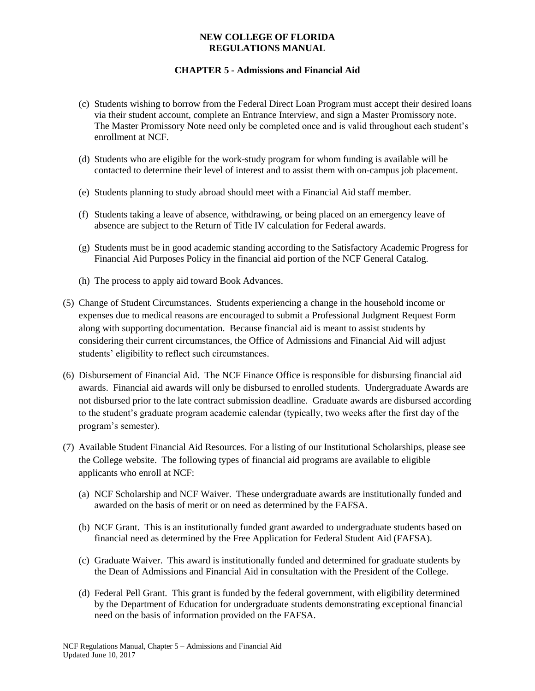# **CHAPTER 5 - Admissions and Financial Aid**

- (c) Students wishing to borrow from the Federal Direct Loan Program must accept their desired loans via their student account, complete an Entrance Interview, and sign a Master Promissory note. The Master Promissory Note need only be completed once and is valid throughout each student's enrollment at NCF.
- (d) Students who are eligible for the work-study program for whom funding is available will be contacted to determine their level of interest and to assist them with on-campus job placement.
- (e) Students planning to study abroad should meet with a Financial Aid staff member.
- (f) Students taking a leave of absence, withdrawing, or being placed on an emergency leave of absence are subject to the Return of Title IV calculation for Federal awards.
- (g) Students must be in good academic standing according to the Satisfactory Academic Progress for Financial Aid Purposes Policy in the financial aid portion of the NCF General Catalog.
- (h) The process to apply aid toward Book Advances.
- (5) Change of Student Circumstances. Students experiencing a change in the household income or expenses due to medical reasons are encouraged to submit a Professional Judgment Request Form along with supporting documentation. Because financial aid is meant to assist students by considering their current circumstances, the Office of Admissions and Financial Aid will adjust students' eligibility to reflect such circumstances.
- (6) Disbursement of Financial Aid. The NCF Finance Office is responsible for disbursing financial aid awards. Financial aid awards will only be disbursed to enrolled students. Undergraduate Awards are not disbursed prior to the late contract submission deadline. Graduate awards are disbursed according to the student's graduate program academic calendar (typically, two weeks after the first day of the program's semester).
- (7) Available Student Financial Aid Resources. For a listing of our Institutional Scholarships, please see the College website. The following types of financial aid programs are available to eligible applicants who enroll at NCF:
	- (a) NCF Scholarship and NCF Waiver. These undergraduate awards are institutionally funded and awarded on the basis of merit or on need as determined by the FAFSA.
	- (b) NCF Grant. This is an institutionally funded grant awarded to undergraduate students based on financial need as determined by the Free Application for Federal Student Aid (FAFSA).
	- (c) Graduate Waiver. This award is institutionally funded and determined for graduate students by the Dean of Admissions and Financial Aid in consultation with the President of the College.
	- (d) Federal Pell Grant. This grant is funded by the federal government, with eligibility determined by the Department of Education for undergraduate students demonstrating exceptional financial need on the basis of information provided on the FAFSA.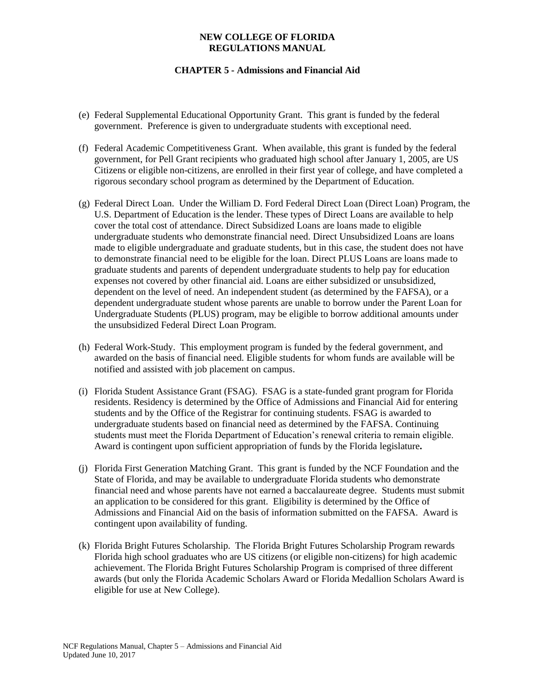# **CHAPTER 5 - Admissions and Financial Aid**

- (e) Federal Supplemental Educational Opportunity Grant. This grant is funded by the federal government. Preference is given to undergraduate students with exceptional need.
- (f) Federal Academic Competitiveness Grant. When available, this grant is funded by the federal government, for Pell Grant recipients who graduated high school after January 1, 2005, are US Citizens or eligible non-citizens, are enrolled in their first year of college, and have completed a rigorous secondary school program as determined by the Department of Education.
- (g) Federal Direct Loan. Under the William D. Ford Federal Direct Loan (Direct Loan) Program, the U.S. Department of Education is the lender. These types of Direct Loans are available to help cover the total cost of attendance. Direct Subsidized Loans are loans made to eligible undergraduate students who demonstrate financial need. Direct Unsubsidized Loans are loans made to eligible undergraduate and graduate students, but in this case, the student does not have to demonstrate financial need to be eligible for the loan. Direct PLUS Loans are loans made to graduate students and parents of dependent undergraduate students to help pay for education expenses not covered by other financial aid. Loans are either subsidized or unsubsidized, dependent on the level of need. An independent student (as determined by the FAFSA), or a dependent undergraduate student whose parents are unable to borrow under the Parent Loan for Undergraduate Students (PLUS) program, may be eligible to borrow additional amounts under the unsubsidized Federal Direct Loan Program.
- (h) Federal Work-Study. This employment program is funded by the federal government, and awarded on the basis of financial need. Eligible students for whom funds are available will be notified and assisted with job placement on campus.
- (i) Florida Student Assistance Grant (FSAG). FSAG is a state-funded grant program for Florida residents. Residency is determined by the Office of Admissions and Financial Aid for entering students and by the Office of the Registrar for continuing students. FSAG is awarded to undergraduate students based on financial need as determined by the FAFSA. Continuing students must meet the Florida Department of Education's renewal criteria to remain eligible. Award is contingent upon sufficient appropriation of funds by the Florida legislature**.**
- (j) Florida First Generation Matching Grant. This grant is funded by the NCF Foundation and the State of Florida, and may be available to undergraduate Florida students who demonstrate financial need and whose parents have not earned a baccalaureate degree. Students must submit an application to be considered for this grant. Eligibility is determined by the Office of Admissions and Financial Aid on the basis of information submitted on the FAFSA. Award is contingent upon availability of funding.
- (k) Florida Bright Futures Scholarship. The Florida Bright Futures Scholarship Program rewards Florida high school graduates who are US citizens (or eligible non-citizens) for high academic achievement. The Florida Bright Futures Scholarship Program is comprised of three different awards (but only the Florida Academic Scholars Award or Florida Medallion Scholars Award is eligible for use at New College).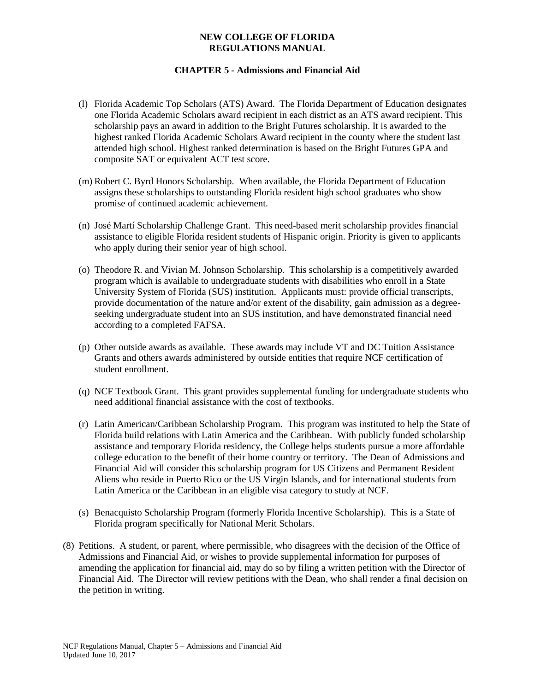# **CHAPTER 5 - Admissions and Financial Aid**

- (l) Florida Academic Top Scholars (ATS) Award. The Florida Department of Education designates one Florida Academic Scholars award recipient in each district as an ATS award recipient. This scholarship pays an award in addition to the Bright Futures scholarship. It is awarded to the highest ranked Florida Academic Scholars Award recipient in the county where the student last attended high school. Highest ranked determination is based on the Bright Futures GPA and composite SAT or equivalent ACT test score.
- (m) Robert C. Byrd Honors Scholarship. When available, the Florida Department of Education assigns these scholarships to outstanding Florida resident high school graduates who show promise of continued academic achievement.
- (n) José Martí Scholarship Challenge Grant. This need-based merit scholarship provides financial assistance to eligible Florida resident students of Hispanic origin. Priority is given to applicants who apply during their senior year of high school.
- (o) Theodore R. and Vivian M. Johnson Scholarship. This scholarship is a competitively awarded program which is available to undergraduate students with disabilities who enroll in a State University System of Florida (SUS) institution. Applicants must: provide official transcripts, provide documentation of the nature and/or extent of the disability, gain admission as a degreeseeking undergraduate student into an SUS institution, and have demonstrated financial need according to a completed FAFSA.
- (p) Other outside awards as available. These awards may include VT and DC Tuition Assistance Grants and others awards administered by outside entities that require NCF certification of student enrollment.
- (q) NCF Textbook Grant. This grant provides supplemental funding for undergraduate students who need additional financial assistance with the cost of textbooks.
- (r) Latin American/Caribbean Scholarship Program.This program was instituted to help the State of Florida build relations with Latin America and the Caribbean. With publicly funded scholarship assistance and temporary Florida residency, the College helps students pursue a more affordable college education to the benefit of their home country or territory. The Dean of Admissions and Financial Aid will consider this scholarship program for US Citizens and Permanent Resident Aliens who reside in Puerto Rico or the US Virgin Islands, and for international students from Latin America or the Caribbean in an eligible visa category to study at NCF.
- (s) Benacquisto Scholarship Program (formerly Florida Incentive Scholarship). This is a State of Florida program specifically for National Merit Scholars.
- (8) Petitions. A student, or parent, where permissible, who disagrees with the decision of the Office of Admissions and Financial Aid, or wishes to provide supplemental information for purposes of amending the application for financial aid, may do so by filing a written petition with the Director of Financial Aid. The Director will review petitions with the Dean, who shall render a final decision on the petition in writing.